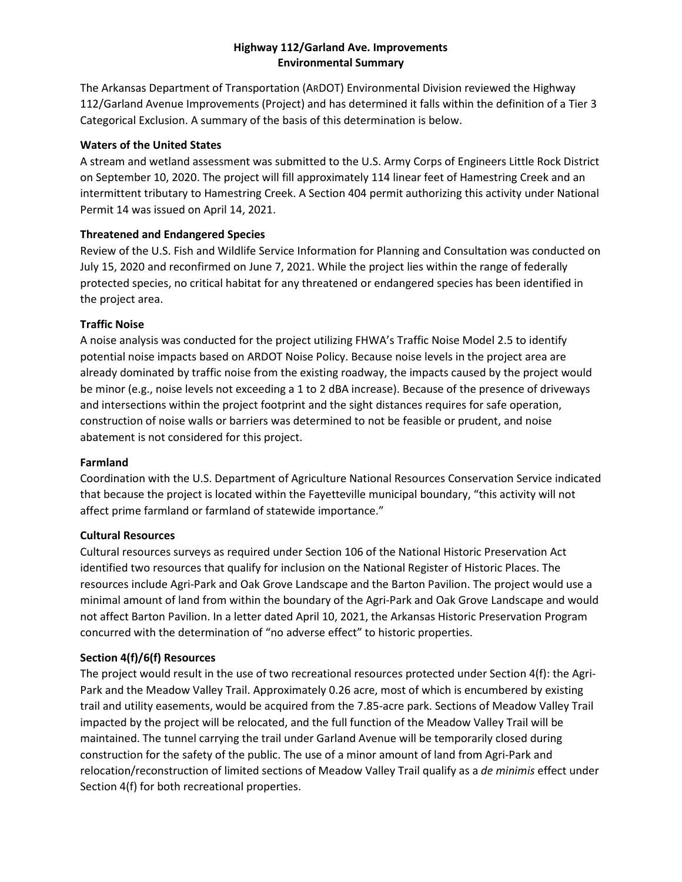## **Highway 112/Garland Ave. Improvements Environmental Summary**

The Arkansas Department of Transportation (ARDOT) Environmental Division reviewed the Highway 112/Garland Avenue Improvements (Project) and has determined it falls within the definition of a Tier 3 Categorical Exclusion. A summary of the basis of this determination is below.

### **Waters of the United States**

A stream and wetland assessment was submitted to the U.S. Army Corps of Engineers Little Rock District on September 10, 2020. The project will fill approximately 114 linear feet of Hamestring Creek and an intermittent tributary to Hamestring Creek. A Section 404 permit authorizing this activity under National Permit 14 was issued on April 14, 2021.

## **Threatened and Endangered Species**

Review of the U.S. Fish and Wildlife Service Information for Planning and Consultation was conducted on July 15, 2020 and reconfirmed on June 7, 2021. While the project lies within the range of federally protected species, no critical habitat for any threatened or endangered species has been identified in the project area.

# **Traffic Noise**

A noise analysis was conducted for the project utilizing FHWA's Traffic Noise Model 2.5 to identify potential noise impacts based on ARDOT Noise Policy. Because noise levels in the project area are already dominated by traffic noise from the existing roadway, the impacts caused by the project would be minor (e.g., noise levels not exceeding a 1 to 2 dBA increase). Because of the presence of driveways and intersections within the project footprint and the sight distances requires for safe operation, construction of noise walls or barriers was determined to not be feasible or prudent, and noise abatement is not considered for this project.

#### **Farmland**

Coordination with the U.S. Department of Agriculture National Resources Conservation Service indicated that because the project is located within the Fayetteville municipal boundary, "this activity will not affect prime farmland or farmland of statewide importance."

#### **Cultural Resources**

Cultural resources surveys as required under Section 106 of the National Historic Preservation Act identified two resources that qualify for inclusion on the National Register of Historic Places. The resources include Agri-Park and Oak Grove Landscape and the Barton Pavilion. The project would use a minimal amount of land from within the boundary of the Agri-Park and Oak Grove Landscape and would not affect Barton Pavilion. In a letter dated April 10, 2021, the Arkansas Historic Preservation Program concurred with the determination of "no adverse effect" to historic properties.

# **Section 4(f)/6(f) Resources**

The project would result in the use of two recreational resources protected under Section 4(f): the Agri-Park and the Meadow Valley Trail. Approximately 0.26 acre, most of which is encumbered by existing trail and utility easements, would be acquired from the 7.85-acre park. Sections of Meadow Valley Trail impacted by the project will be relocated, and the full function of the Meadow Valley Trail will be maintained. The tunnel carrying the trail under Garland Avenue will be temporarily closed during construction for the safety of the public. The use of a minor amount of land from Agri-Park and relocation/reconstruction of limited sections of Meadow Valley Trail qualify as a *de minimis* effect under Section 4(f) for both recreational properties.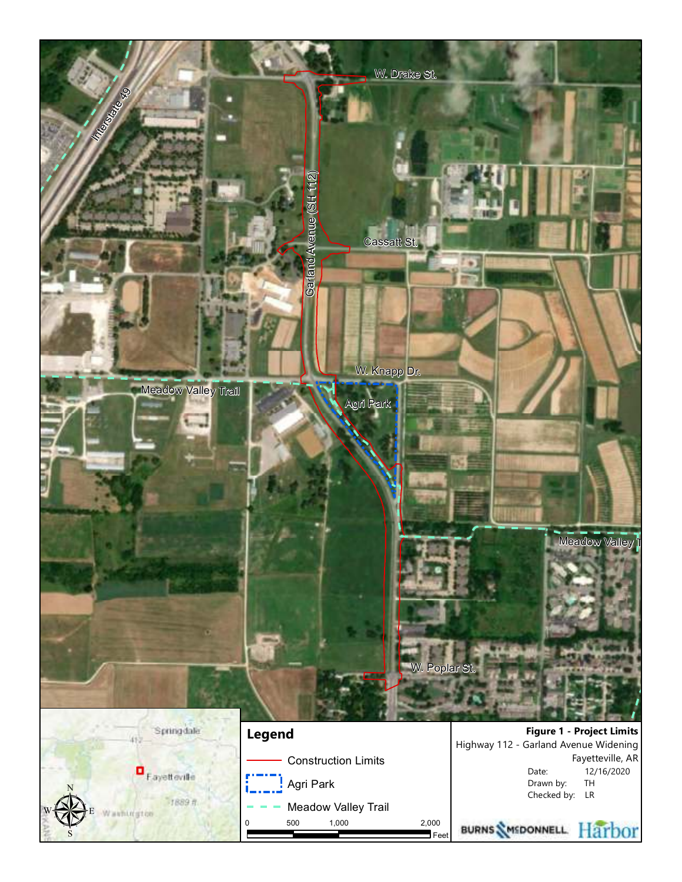